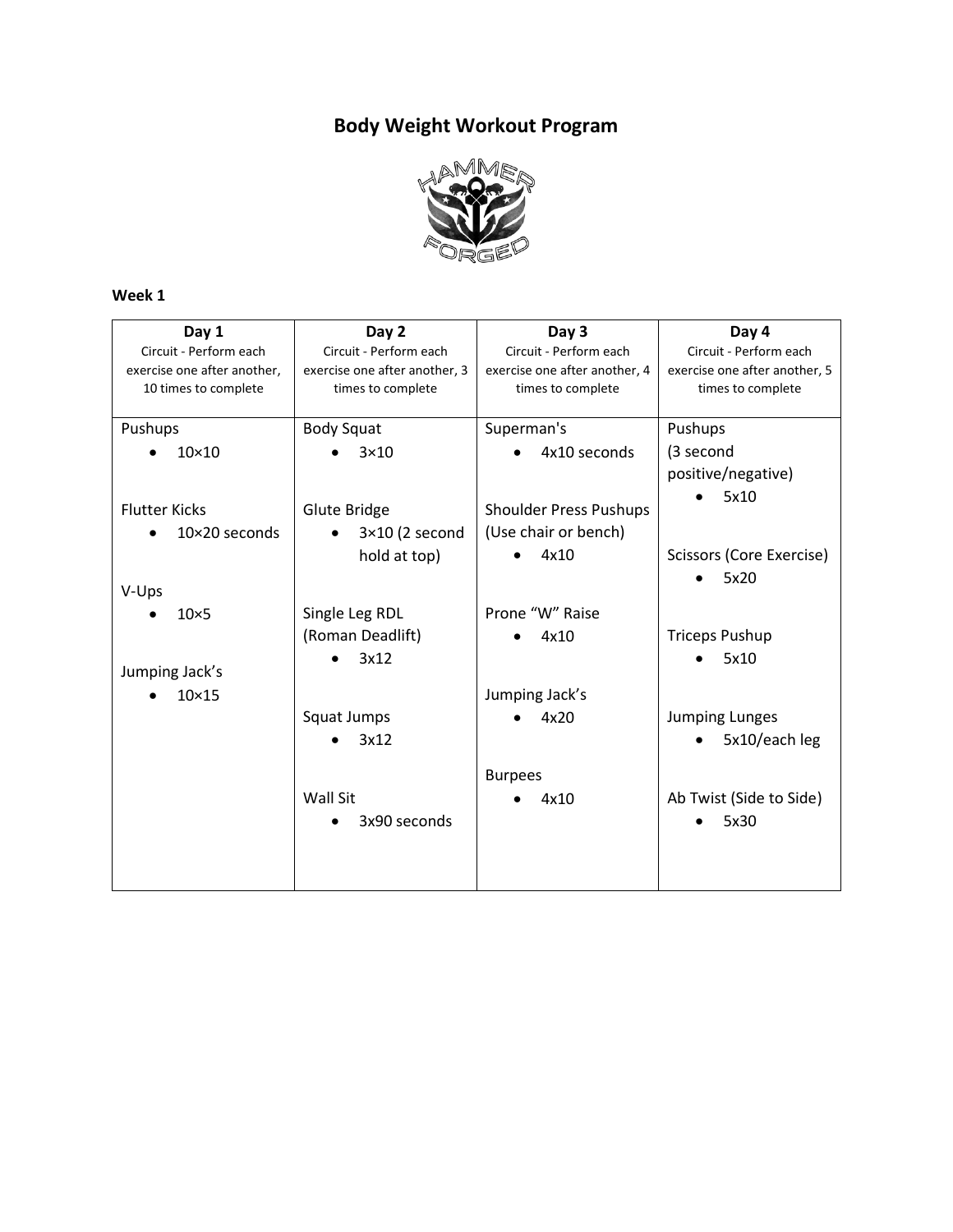# **Body Weight Workout Program**



## **Week 1**

| Day 1                       | Day 2                         | Day 3                         | Day 4                         |
|-----------------------------|-------------------------------|-------------------------------|-------------------------------|
| Circuit - Perform each      | Circuit - Perform each        | Circuit - Perform each        | Circuit - Perform each        |
| exercise one after another, | exercise one after another, 3 | exercise one after another, 4 | exercise one after another, 5 |
| 10 times to complete        | times to complete             | times to complete             | times to complete             |
|                             |                               |                               |                               |
| Pushups                     | <b>Body Squat</b>             | Superman's                    | Pushups                       |
| $10\times10$                | $3\times10$                   | 4x10 seconds                  | (3 second                     |
|                             |                               |                               | positive/negative)            |
|                             |                               |                               | 5x10                          |
| <b>Flutter Kicks</b>        | Glute Bridge                  | <b>Shoulder Press Pushups</b> |                               |
| $10\times20$ seconds        | $3\times10$ (2 second         | (Use chair or bench)          |                               |
|                             | hold at top)                  | 4x10                          | Scissors (Core Exercise)      |
|                             |                               |                               | 5x20                          |
| V-Ups                       |                               |                               |                               |
| $10\times 5$                | Single Leg RDL                | Prone "W" Raise               |                               |
|                             | (Roman Deadlift)              | 4x10                          | <b>Triceps Pushup</b>         |
|                             | 3x12                          |                               | 5x10                          |
| Jumping Jack's              |                               |                               |                               |
| $10\times15$                |                               | Jumping Jack's                |                               |
|                             | Squat Jumps                   | 4x20                          | <b>Jumping Lunges</b>         |
|                             | 3x12                          |                               | 5x10/each leg                 |
|                             |                               | <b>Burpees</b>                |                               |
|                             | <b>Wall Sit</b>               | 4x10                          | Ab Twist (Side to Side)       |
|                             | 3x90 seconds                  |                               | 5x30                          |
|                             |                               |                               |                               |
|                             |                               |                               |                               |
|                             |                               |                               |                               |
|                             |                               |                               |                               |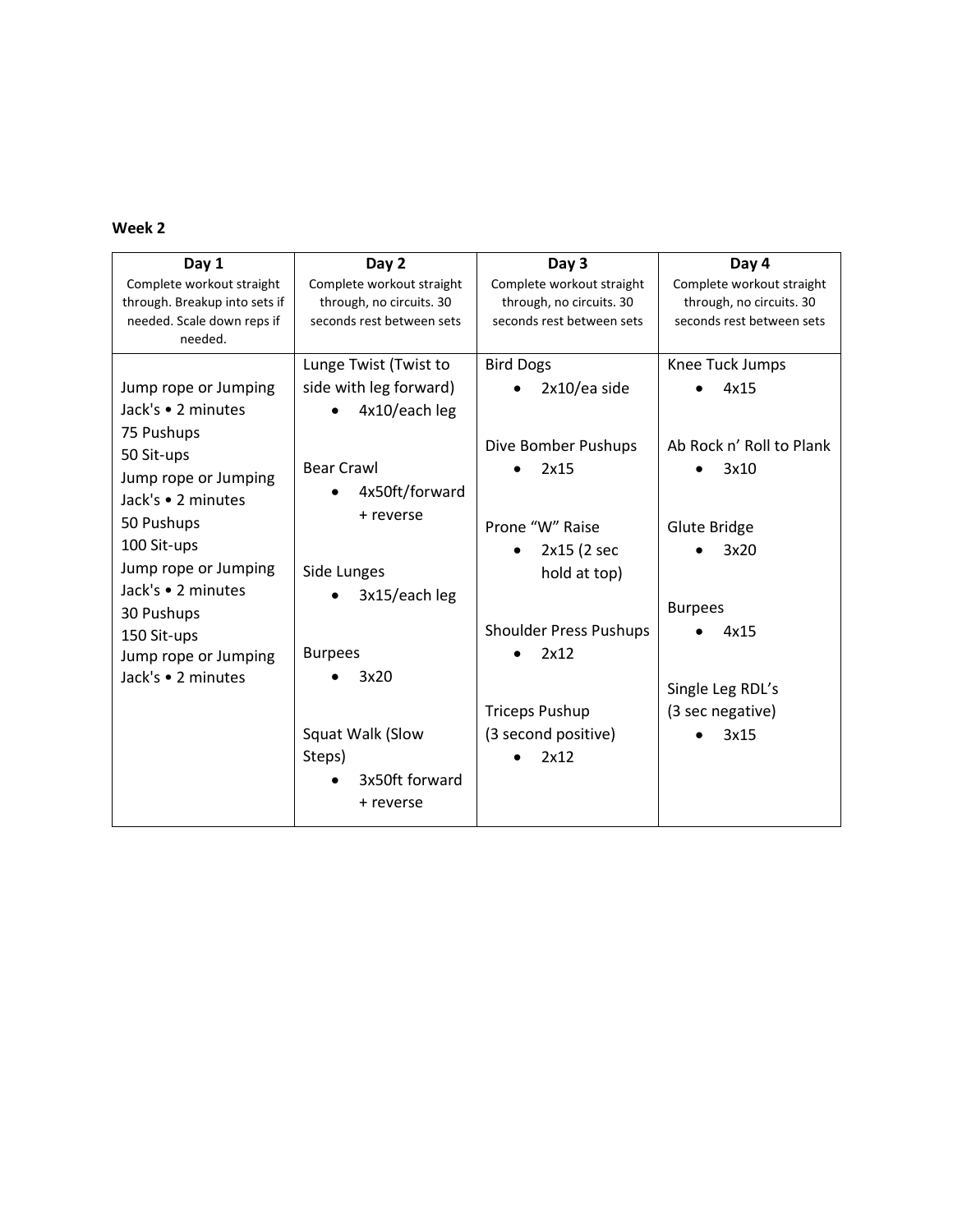#### **Week 2**

| Day 1                         | Day 2                     | Day 3                         | Day 4                     |
|-------------------------------|---------------------------|-------------------------------|---------------------------|
| Complete workout straight     | Complete workout straight | Complete workout straight     | Complete workout straight |
| through. Breakup into sets if | through, no circuits. 30  | through, no circuits. 30      | through, no circuits. 30  |
| needed. Scale down reps if    | seconds rest between sets | seconds rest between sets     | seconds rest between sets |
| needed.                       |                           |                               |                           |
|                               | Lunge Twist (Twist to     | <b>Bird Dogs</b>              | Knee Tuck Jumps           |
| Jump rope or Jumping          | side with leg forward)    | 2x10/ea side                  | 4x15                      |
| Jack's • 2 minutes            | 4x10/each leg             |                               |                           |
| 75 Pushups                    |                           |                               |                           |
| 50 Sit-ups                    |                           | Dive Bomber Pushups           | Ab Rock n' Roll to Plank  |
| Jump rope or Jumping          | <b>Bear Crawl</b>         | 2x15                          | 3x10                      |
| Jack's • 2 minutes            | 4x50ft/forward            |                               |                           |
| 50 Pushups                    | + reverse                 | Prone "W" Raise               | <b>Glute Bridge</b>       |
| 100 Sit-ups                   |                           | 2x15 (2 sec                   | 3x20                      |
| Jump rope or Jumping          |                           |                               |                           |
| Jack's • 2 minutes            | Side Lunges               | hold at top)                  |                           |
| 30 Pushups                    | 3x15/each leg             |                               | <b>Burpees</b>            |
| 150 Sit-ups                   |                           | <b>Shoulder Press Pushups</b> | 4x15                      |
| Jump rope or Jumping          | <b>Burpees</b>            | 2x12                          |                           |
| Jack's • 2 minutes            | 3x20                      |                               |                           |
|                               |                           |                               | Single Leg RDL's          |
|                               |                           | <b>Triceps Pushup</b>         | (3 sec negative)          |
|                               | Squat Walk (Slow          | (3 second positive)           | 3x15                      |
|                               | Steps)                    | 2x12                          |                           |
|                               | 3x50ft forward            |                               |                           |
|                               | + reverse                 |                               |                           |
|                               |                           |                               |                           |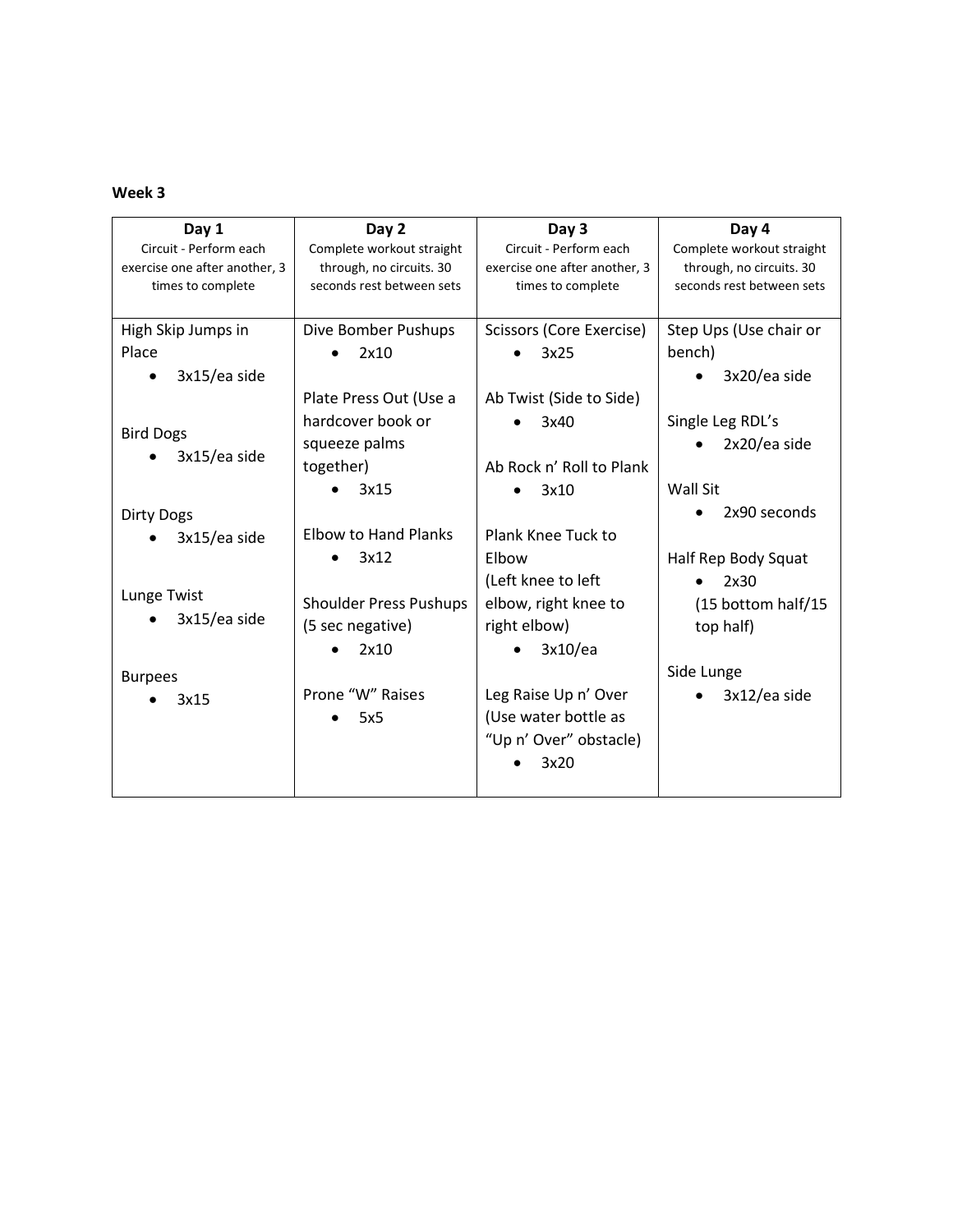# **Week 3**

| Day 1                         | Day 2                         | Day 3                         | Day 4                     |
|-------------------------------|-------------------------------|-------------------------------|---------------------------|
| Circuit - Perform each        | Complete workout straight     | Circuit - Perform each        | Complete workout straight |
| exercise one after another, 3 | through, no circuits. 30      | exercise one after another, 3 | through, no circuits. 30  |
| times to complete             | seconds rest between sets     | times to complete             | seconds rest between sets |
|                               |                               |                               |                           |
| High Skip Jumps in            | Dive Bomber Pushups           | Scissors (Core Exercise)      | Step Ups (Use chair or    |
| Place                         | 2x10                          | 3x25                          | bench)                    |
| 3x15/ea side                  |                               |                               | 3x20/ea side              |
|                               | Plate Press Out (Use a        | Ab Twist (Side to Side)       |                           |
| <b>Bird Dogs</b>              | hardcover book or             | 3x40                          | Single Leg RDL's          |
| 3x15/ea side                  | squeeze palms                 |                               | 2x20/ea side              |
|                               | together)                     | Ab Rock n' Roll to Plank      |                           |
|                               | 3x15                          | 3x10                          | Wall Sit                  |
| <b>Dirty Dogs</b>             |                               |                               | 2x90 seconds              |
| 3x15/ea side                  | <b>Elbow to Hand Planks</b>   | Plank Knee Tuck to            |                           |
|                               | 3x12                          | Elbow                         | Half Rep Body Squat       |
|                               |                               | (Left knee to left            | 2x30                      |
| Lunge Twist                   | <b>Shoulder Press Pushups</b> | elbow, right knee to          | (15 bottom half/15        |
| 3x15/ea side                  | (5 sec negative)              | right elbow)                  | top half)                 |
|                               | 2x10                          | 3x10/ea                       |                           |
| <b>Burpees</b>                |                               |                               | Side Lunge                |
| 3x15                          | Prone "W" Raises              | Leg Raise Up n' Over          | 3x12/ea side              |
|                               | 5x5                           | (Use water bottle as          |                           |
|                               |                               | "Up n' Over" obstacle)        |                           |
|                               |                               | 3x20                          |                           |
|                               |                               |                               |                           |
|                               |                               |                               |                           |